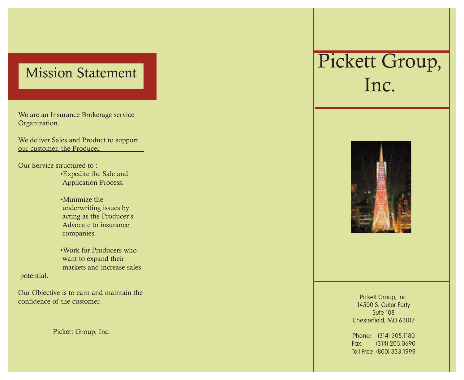## Mission Statement

We are an Insurance Brokerage service Organization.

We deliver Sales and Product to support our customer, the Producer.

Our Service structured to :

 •Expedite the Sale and Application Process.

 •Minimize the underwriting issues by acting as the Producer's Advocate to insurance companies.

 •Work for Producers who want to expand their markets and increase sales

potential.

Our Objective is to earn and maintain the confidence of the customer.

Pickett Group, Inc.

# Pickett Group, Inc.



Pickett Group, Inc. 14500 S. Outer Forty Sute 108 Chesterfield, MO 63017

Phone: (314) 205.1180 Fax: (314) 205.0690 Toll Free (800) 333.1999